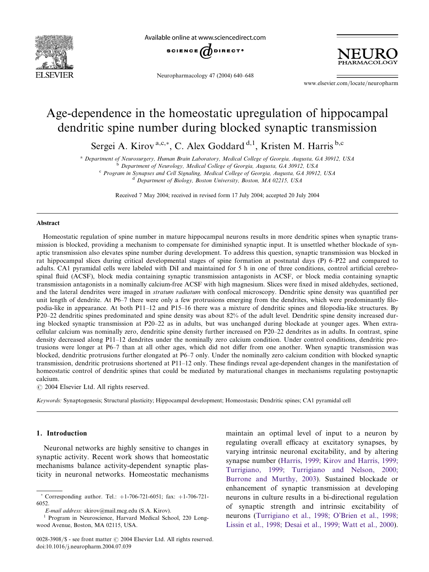

Available online at www.sciencedirect.com



Neuropharmacology 47 (2004) 640–648



www.elsevier.com/locate/neuropharm

# Age-dependence in the homeostatic upregulation of hippocampal dendritic spine number during blocked synaptic transmission

Sergei A. Kirov<sup>a,c,\*</sup>, C. Alex Goddard<sup>d, 1</sup>, Kristen M. Harris<sup>b,c</sup>

<sup>a</sup> Department of Neurosurgery, Human Brain Laboratory, Medical College of Georgia, Augusta, GA 30912, USA

<sup>b</sup> Department of Neurology, Medical College of Georgia, Augusta, GA 30912, USA

<sup>c</sup> Program in Synapses and Cell Signaling, Medical College of Georgia, Augusta, GA 30912, USA

 $\sigma$ <sup>d</sup> Department of Biology, Boston University, Boston, MA 02215, USA

Received 7 May 2004; received in revised form 17 July 2004; accepted 20 July 2004

## Abstract

Homeostatic regulation of spine number in mature hippocampal neurons results in more dendritic spines when synaptic transmission is blocked, providing a mechanism to compensate for diminished synaptic input. It is unsettled whether blockade of synaptic transmission also elevates spine number during development. To address this question, synaptic transmission was blocked in rat hippocampal slices during critical developmental stages of spine formation at postnatal days (P) 6–P22 and compared to adults. CA1 pyramidal cells were labeled with DiI and maintained for 5 h in one of three conditions, control artificial cerebrospinal fluid (ACSF), block media containing synaptic transmission antagonists in ACSF, or block media containing synaptic transmission antagonists in a nominally calcium-free ACSF with high magnesium. Slices were fixed in mixed aldehydes, sectioned, and the lateral dendrites were imaged in stratum radiatum with confocal microscopy. Dendritic spine density was quantified per unit length of dendrite. At P6–7 there were only a few protrusions emerging from the dendrites, which were predominantly filopodia-like in appearance. At both P11–12 and P15–16 there was a mixture of dendritic spines and filopodia-like structures. By P20–22 dendritic spines predominated and spine density was about 82% of the adult level. Dendritic spine density increased during blocked synaptic transmission at P20–22 as in adults, but was unchanged during blockade at younger ages. When extracellular calcium was nominally zero, dendritic spine density further increased on P20–22 dendrites as in adults. In contrast, spine density decreased along P11–12 dendrites under the nominally zero calcium condition. Under control conditions, dendritic protrusions were longer at P6–7 than at all other ages, which did not differ from one another. When synaptic transmission was blocked, dendritic protrusions further elongated at P6–7 only. Under the nominally zero calcium condition with blocked synaptic transmission, dendritic protrusions shortened at P11–12 only. These findings reveal age-dependent changes in the manifestation of homeostatic control of dendritic spines that could be mediated by maturational changes in mechanisms regulating postsynaptic calcium.

 $\odot$  2004 Elsevier Ltd. All rights reserved.

Keywords: Synaptogenesis; Structural plasticity; Hippocampal development; Homeostasis; Dendritic spines; CA1 pyramidal cell

# 1. Introduction

Neuronal networks are highly sensitive to changes in synaptic activity. Recent work shows that homeostatic mechanisms balance activity-dependent synaptic plasticity in neuronal networks. Homeostatic mechanisms

maintain an optimal level of input to a neuron by regulating overall efficacy at excitatory synapses, by varying intrinsic neuronal excitability, and by altering synapse number ([Harris, 1999; Kirov and Harris, 1999;](#page-7-0) [Turrigiano, 1999; Turrigiano and Nelson, 2000;](#page-7-0) [Burrone and Murthy, 2003](#page-7-0)). Sustained blockade or enhancement of synaptic transmission at developing neurons in culture results in a bi-directional regulation of synaptic strength and intrinsic excitability of neurons [\(Turrigiano et al., 1998; O'Brien et al., 1998;](#page-8-0) [Lissin et al., 1998; Desai et al., 1999; Watt et al., 2000\)](#page-8-0).

<sup>\*</sup> Corresponding author. Tel.:  $+1-706-721-6051$ ; fax:  $+1-706-721-$ 6052.

E-mail address: skirov@mail.mcg.edu (S.A. Kirov).

<sup>&</sup>lt;sup>1</sup> Program in Neuroscience, Harvard Medical School, 220 Longwood Avenue, Boston, MA 02115, USA.

<sup>0028-3908/\$ -</sup> see front matter  $\odot$  2004 Elsevier Ltd. All rights reserved. doi:10.1016/j.neuropharm.2004.07.039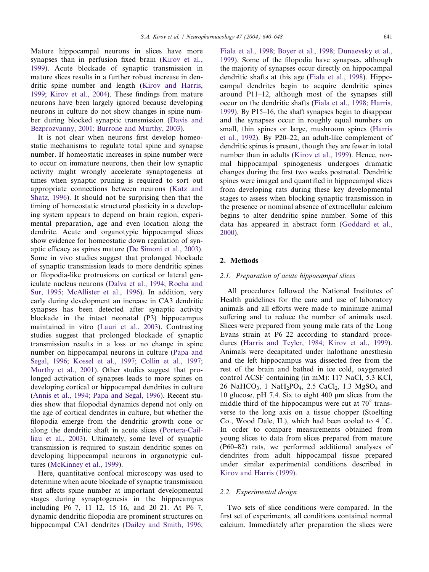Mature hippocampal neurons in slices have more synapses than in perfusion fixed brain ([Kirov et al.,](#page-7-0) [1999](#page-7-0)). Acute blockade of synaptic transmission in mature slices results in a further robust increase in dendritic spine number and length [\(Kirov and Harris,](#page-7-0) [1999; Kirov et al., 2004\)](#page-7-0). These findings from mature neurons have been largely ignored because developing neurons in culture do not show changes in spine number during blocked synaptic transmission ([Davis and](#page-7-0) [Bezprozvanny, 2001; Burrone and Murthy, 2003](#page-7-0)).

It is not clear when neurons first develop homeostatic mechanisms to regulate total spine and synapse number. If homeostatic increases in spine number were to occur on immature neurons, then their low synaptic activity might wrongly accelerate synaptogenesis at times when synaptic pruning is required to sort out appropriate connections between neurons ([Katz and](#page-7-0) [Shatz, 1996\)](#page-7-0). It should not be surprising then that the timing of homeostatic structural plasticity in a developing system appears to depend on brain region, experimental preparation, age and even location along the dendrite. Acute and organotypic hippocampal slices show evidence for homeostatic down regulation of synaptic efficacy as spines mature [\(De Simoni et al., 2003\)](#page-7-0). Some in vivo studies suggest that prolonged blockade of synaptic transmission leads to more dendritic spines or filopodia-like protrusions on cortical or lateral geniculate nucleus neurons [\(Dalva et al., 1994; Rocha and](#page-7-0) [Sur, 1995; McAllister et al., 1996](#page-7-0)). In addition, very early during development an increase in CA3 dendritic synapses has been detected after synaptic activity blockade in the intact neonatal (P3) hippocampus maintained in vitro ([Lauri et al., 2003](#page-7-0)). Contrasting studies suggest that prolonged blockade of synaptic transmission results in a loss or no change in spine number on hippocampal neurons in culture [\(Papa and](#page-8-0) [Segal, 1996; Kossel et al., 1997; Collin et al., 1997;](#page-8-0) [Murthy et al., 2001](#page-8-0)). Other studies suggest that prolonged activation of synapses leads to more spines on developing cortical or hippocampal dendrites in culture ([Annis et al., 1994; Papa and Segal, 1996\)](#page-6-0). Recent studies show that filopodial dynamics depend not only on the age of cortical dendrites in culture, but whether the filopodia emerge from the dendritic growth cone or along the dendritic shaft in acute slices [\(Portera-Cail](#page-8-0)[liau et al., 2003](#page-8-0)). Ultimately, some level of synaptic transmission is required to sustain dendritic spines on developing hippocampal neurons in organotypic cultures ([McKinney et al., 1999\)](#page-8-0).

Here, quantitative confocal microscopy was used to determine when acute blockade of synaptic transmission first affects spine number at important developmental stages during synaptogenesis in the hippocampus including P6–7, 11–12, 15–16, and 20–21. At P6–7, dynamic dendritic filopodia are prominent structures on hippocampal CA1 dendrites ([Dailey and Smith, 1996;](#page-7-0) [Fiala et al., 1998; Boyer et al., 1998; Dunaevsky et al.,](#page-7-0) [1999](#page-7-0)). Some of the filopodia have synapses, although the majority of synapses occur directly on hippocampal dendritic shafts at this age [\(Fiala et al., 1998\)](#page-7-0). Hippocampal dendrites begin to acquire dendritic spines around P11–12, although most of the synapses still occur on the dendritic shafts ([Fiala et al., 1998; Harris,](#page-7-0) [1999](#page-7-0)). By P15–16, the shaft synapses begin to disappear and the synapses occur in roughly equal numbers on small, thin spines or large, mushroom spines [\(Harris](#page-7-0) [et al., 1992](#page-7-0)). By P20–22, an adult-like complement of dendritic spines is present, though they are fewer in total number than in adults [\(Kirov et al., 1999](#page-7-0)). Hence, normal hippocampal spinogenesis undergoes dramatic changes during the first two weeks postnatal. Dendritic spines were imaged and quantified in hippocampal slices from developing rats during these key developmental stages to assess when blocking synaptic transmission in the presence or nominal absence of extracellular calcium begins to alter dendritic spine number. Some of this data has appeared in abstract form ([Goddard et al.,](#page-7-0) [2000](#page-7-0)).

### 2. Methods

# 2.1. Preparation of acute hippocampal slices

All procedures followed the National Institutes of Health guidelines for the care and use of laboratory animals and all efforts were made to minimize animal suffering and to reduce the number of animals used. Slices were prepared from young male rats of the Long Evans strain at P6–22 according to standard procedures ([Harris and Teyler, 1984; Kirov et al., 1999\)](#page-7-0). Animals were decapitated under halothane anesthesia and the left hippocampus was dissected free from the rest of the brain and bathed in ice cold, oxygenated control ACSF containing (in mM): 117 NaCl, 5.3 KCl, 26 NaHCO<sub>3</sub>, 1 NaH<sub>2</sub>PO<sub>4</sub>, 2.5 CaCl<sub>2</sub>, 1.3 MgSO<sub>4</sub> and 10 glucose, pH 7.4. Six to eight  $400 \mu m$  slices from the middle third of the hippocampus were cut at  $70^\circ$  transverse to the long axis on a tissue chopper (Stoelting Co., Wood Dale, IL), which had been cooled to  $4^{\circ}$ C. In order to compare measurements obtained from young slices to data from slices prepared from mature (P60–82) rats, we performed additional analyses of dendrites from adult hippocampal tissue prepared under similar experimental conditions described in [Kirov and Harris \(1999\).](#page-7-0)

# 2.2. Experimental design

Two sets of slice conditions were compared. In the first set of experiments, all conditions contained normal calcium. Immediately after preparation the slices were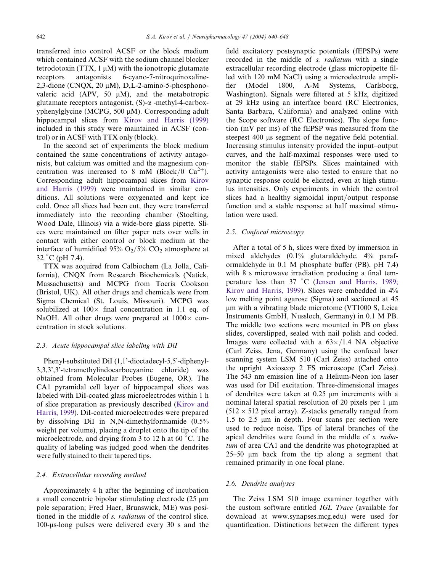transferred into control ACSF or the block medium which contained ACSF with the sodium channel blocker tetrodotoxin (TTX,  $1 \mu M$ ) with the ionotropic glutamate receptors antagonists 6-cyano-7-nitroquinoxaline-2,3-dione (CNQX, 20  $\mu$ M), D,L-2-amino-5-phosphonovaleric acid (APV, 50  $\mu$ M), and the metabotropic glutamate receptors antagonist,  $(S)$ - $\alpha$ -methyl-4-carboxyphenylglycine (MCPG,  $500 \mu M$ ). Corresponding adult hippocampal slices from [Kirov and Harris \(1999\)](#page-7-0) included in this study were maintained in ACSF (control) or in ACSF with TTX only (block).

In the second set of experiments the block medium contained the same concentrations of activity antagonists, but calcium was omitted and the magnesium concentration was increased to 8 mM (Block/0  $Ca^{2+}$ ). Corresponding adult hippocampal slices from [Kirov](#page-7-0) [and Harris \(1999\)](#page-7-0) were maintained in similar conditions. All solutions were oxygenated and kept ice cold. Once all slices had been cut, they were transferred immediately into the recording chamber (Stoelting, Wood Dale, Illinois) via a wide-bore glass pipette. Slices were maintained on filter paper nets over wells in contact with either control or block medium at the interface of humidified  $95\%$  O<sub>2</sub>/5\% CO<sub>2</sub> atmosphere at  $32 \text{ °C}$  (pH 7.4).

TTX was acquired from Calbiochem (La Jolla, California), CNQX from Research Biochemicals (Natick, Massachusetts) and MCPG from Tocris Cookson (Bristol, UK). All other drugs and chemicals were from Sigma Chemical (St. Louis, Missouri). MCPG was solubilized at  $100\times$  final concentration in 1.1 eq. of NaOH. All other drugs were prepared at  $1000 \times$  concentration in stock solutions.

#### 2.3. Acute hippocampal slice labeling with DiI

Phenyl-substituted DiI (1,1'-dioctadecyl-5,5'-diphenyl-3,3,3',3'-tetramethylindocarbocyanine chloride) was obtained from Molecular Probes (Eugene, OR). The CA1 pyramidal cell layer of hippocampal slices was labeled with DiI-coated glass microelectrodes within 1 h of slice preparation as previously described ([Kirov and](#page-7-0) [Harris, 1999](#page-7-0)). DiI-coated microelectrodes were prepared by dissolving DiI in N,N-dimethylformamide (0.5% weight per volume), placing a droplet onto the tip of the microelectrode, and drying from  $\overline{3}$  to 12 h at 60 °C. The quality of labeling was judged good when the dendrites were fully stained to their tapered tips.

## 2.4. Extracellular recording method

Approximately 4 h after the beginning of incubation a small concentric bipolar stimulating electrode  $(25 \mu m)$ pole separation; Fred Haer, Brunswick, ME) was positioned in the middle of s. radiatum of the control slice. 100-ls-long pulses were delivered every 30 s and the field excitatory postsynaptic potentials (fEPSPs) were recorded in the middle of s. *radiatum* with a single extracellular recording electrode (glass micropipette filled with 120 mM NaCl) using a microelectrode amplifier (Model 1800, A-M Systems, Carlsborg, Washington). Signals were filtered at 5 kHz, digitized at 29 kHz using an interface board (RC Electronics, Santa Barbara, California) and analyzed online with the Scope software (RC Electronics). The slope function (mV per ms) of the fEPSP was measured from the steepest 400 µs segment of the negative field potential. Increasing stimulus intensity provided the input–output curves, and the half-maximal responses were used to monitor the stable fEPSPs. Slices maintained with activity antagonists were also tested to ensure that no synaptic response could be elicited, even at high stimulus intensities. Only experiments in which the control slices had a healthy sigmoidal input/output response function and a stable response at half maximal stimulation were used.

#### 2.5. Confocal microscopy

After a total of 5 h, slices were fixed by immersion in mixed aldehydes (0.1% glutaraldehyde, 4% paraformaldehyde in 0.1 M phosphate buffer (PB), pH 7.4) with 8 s microwave irradiation producing a final temperature less than  $37 \text{ °C}$  [\(Jensen and Harris, 1989;](#page-7-0) [Kirov and Harris, 1999\)](#page-7-0). Slices were embedded in 4% low melting point agarose (Sigma) and sectioned at 45 lm with a vibrating blade microtome (VT1000 S, Leica Instruments GmbH, Nussloch, Germany) in 0.1 M PB. The middle two sections were mounted in PB on glass slides, coverslipped, sealed with nail polish and coded. Images were collected with a  $63\times/1.4$  NA objective (Carl Zeiss, Jena, Germany) using the confocal laser scanning system LSM 510 (Carl Zeiss) attached onto the upright Axioscop 2 FS microscope (Carl Zeiss). The 543 nm emission line of a Helium-Neon ion laser was used for DiI excitation. Three-dimensional images of dendrites were taken at  $0.25 \mu m$  increments with a nominal lateral spatial resolution of 20 pixels per 1  $\mu$ m  $(512 \times 512$  pixel array). Z-stacks generally ranged from  $1.5$  to  $2.5$   $\mu$ m in depth. Four scans per section were used to reduce noise. Tips of lateral branches of the apical dendrites were found in the middle of s. radiatum of area CA1 and the dendrite was photographed at  $25-50$  µm back from the tip along a segment that remained primarily in one focal plane.

## 2.6. Dendrite analyses

The Zeiss LSM 510 image examiner together with the custom software entitled IGL Trace (available for download at www.synapses.mcg.edu) were used for quantification. Distinctions between the different types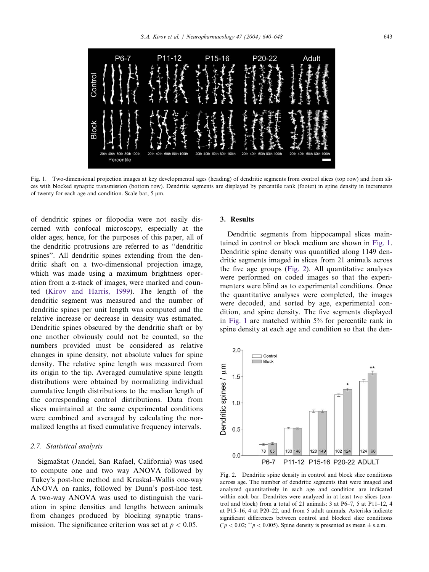<span id="page-3-0"></span>

Fig. 1. Two-dimensional projection images at key developmental ages (heading) of dendritic segments from control slices (top row) and from slices with blocked synaptic transmission (bottom row). Dendritic segments are displayed by percentile rank (footer) in spine density in increments of twenty for each age and condition. Scale bar,  $5 \mu m$ .

of dendritic spines or filopodia were not easily discerned with confocal microscopy, especially at the older ages; hence, for the purposes of this paper, all of the dendritic protrusions are referred to as ''dendritic spines''. All dendritic spines extending from the dendritic shaft on a two-dimensional projection image, which was made using a maximum brightness operation from a z-stack of images, were marked and counted ([Kirov and Harris, 1999\)](#page-7-0). The length of the dendritic segment was measured and the number of dendritic spines per unit length was computed and the relative increase or decrease in density was estimated. Dendritic spines obscured by the dendritic shaft or by one another obviously could not be counted, so the numbers provided must be considered as relative changes in spine density, not absolute values for spine density. The relative spine length was measured from its origin to the tip. Averaged cumulative spine length distributions were obtained by normalizing individual cumulative length distributions to the median length of the corresponding control distributions. Data from slices maintained at the same experimental conditions were combined and averaged by calculating the normalized lengths at fixed cumulative frequency intervals.

# 2.7. Statistical analysis

SigmaStat (Jandel, San Rafael, California) was used to compute one and two way ANOVA followed by Tukey's post-hoc method and Kruskal–Wallis one-way ANOVA on ranks, followed by Dunn's post-hoc test. A two-way ANOVA was used to distinguish the variation in spine densities and lengths between animals from changes produced by blocking synaptic transmission. The significance criterion was set at  $p < 0.05$ .

# 3. Results

Dendritic segments from hippocampal slices maintained in control or block medium are shown in Fig. 1. Dendritic spine density was quantified along 1149 dendritic segments imaged in slices from 21 animals across the five age groups (Fig. 2). All quantitative analyses were performed on coded images so that the experimenters were blind as to experimental conditions. Once the quantitative analyses were completed, the images were decoded, and sorted by age, experimental condition, and spine density. The five segments displayed in Fig. 1 are matched within 5% for percentile rank in spine density at each age and condition so that the den-



Fig. 2. Dendritic spine density in control and block slice conditions across age. The number of dendritic segments that were imaged and analyzed quantitatively in each age and condition are indicated within each bar. Dendrites were analyzed in at least two slices (control and block) from a total of 21 animals: 3 at P6–7, 5 at P11–12, 4 at P15–16, 4 at P20–22, and from 5 adult animals. Asterisks indicate significant differences between control and blocked slice conditions  $({}^*p < 0.02; {}^{**}p < 0.005)$ . Spine density is presented as mean  $\pm$  s.e.m.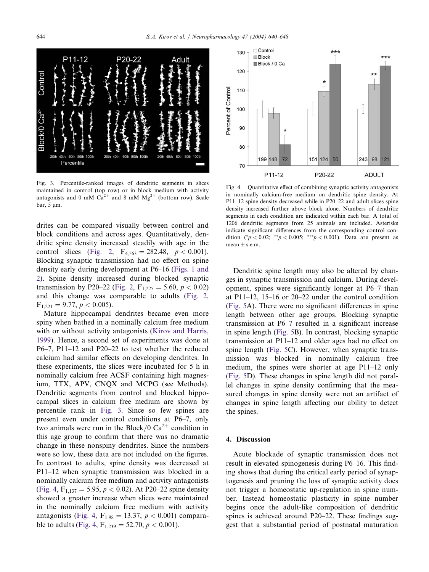

Fig. 3. Percentile-ranked images of dendritic segments in slices maintained in control (top row) or in block medium with activity antagonists and 0 mM  $Ca^{2+}$  and 8 mM  $Mg^{2+}$  (bottom row). Scale bar,  $5 \mu m$ .

drites can be compared visually between control and block conditions and across ages. Quantitatively, dendritic spine density increased steadily with age in the control slices ([Fig. 2,](#page-3-0)  $F_{4,563} = 282.48, p < 0.001$ ). Blocking synaptic transmission had no effect on spine density early during development at P6–16 [\(Figs. 1 and](#page-3-0) [2\)](#page-3-0). Spine density increased during blocked synaptic transmission by P20–22 [\(Fig. 2,](#page-3-0) F<sub>1,225</sub> = 5.60,  $p < 0.02$ ) and this change was comparable to adults ([Fig. 2](#page-3-0),  $F_{1,221} = 9.77, p < 0.005$ ).

Mature hippocampal dendrites became even more spiny when bathed in a nominally calcium free medium with or without activity antagonists ([Kirov and Harris,](#page-7-0) [1999\)](#page-7-0). Hence, a second set of experiments was done at P6–7, P11–12 and P20–22 to test whether the reduced calcium had similar effects on developing dendrites. In these experiments, the slices were incubated for 5 h in nominally calcium free ACSF containing high magnesium, TTX, APV, CNQX and MCPG (see Methods). Dendritic segments from control and blocked hippocampal slices in calcium free medium are shown by percentile rank in Fig. 3. Since so few spines are present even under control conditions at P6–7, only two animals were run in the Block/0  $Ca^{2+}$  condition in this age group to confirm that there was no dramatic change in these nonspiny dendrites. Since the numbers were so low, these data are not included on the figures. In contrast to adults, spine density was decreased at P11–12 when synaptic transmission was blocked in a nominally calcium free medium and activity antagonists (Fig. 4,  $F_{1,137} = 5.95, p < 0.02$ ). At P20–22 spine density showed a greater increase when slices were maintained in the nominally calcium free medium with activity antagonists (Fig. 4,  $F_{1.98} = 13.37, p < 0.001$ ) comparable to adults (Fig. 4,  $F_{1,239} = 52.70, p < 0.001$ ).



Fig. 4. Quantitative effect of combining synaptic activity antagonists in nominally calcium-free medium on dendritic spine density. At P11–12 spine density decreased while in P20–22 and adult slices spine density increased further above block alone. Numbers of dendritic segments in each condition are indicated within each bar. A total of 1206 dendritic segments from 25 animals are included. Asterisks indicate significant differences from the corresponding control condition  $\binom{p}{p} < 0.02$ ;  $\binom{p}{p} < 0.005$ ;  $\binom{p}{p} < 0.001$ ). Data are present as mean  $\pm$  s.e.m.

Dendritic spine length may also be altered by changes in synaptic transmission and calcium. During development, spines were significantly longer at P6–7 than at P11–12, 15–16 or 20–22 under the control condition ([Fig. 5](#page-5-0)A). There were no significant differences in spine length between other age groups. Blocking synaptic transmission at P6–7 resulted in a significant increase in spine length [\(Fig. 5](#page-5-0)B). In contrast, blocking synaptic transmission at P11–12 and older ages had no effect on spine length [\(Fig. 5C](#page-5-0)). However, when synaptic transmission was blocked in nominally calcium free medium, the spines were shorter at age P11–12 only ([Fig. 5](#page-5-0)D). These changes in spine length did not parallel changes in spine density confirming that the measured changes in spine density were not an artifact of changes in spine length affecting our ability to detect the spines.

## 4. Discussion

Acute blockade of synaptic transmission does not result in elevated spinogenesis during P6–16. This finding shows that during the critical early period of synaptogenesis and pruning the loss of synaptic activity does not trigger a homeostatic up-regulation in spine number. Instead homeostatic plasticity in spine number begins once the adult-like composition of dendritic spines is achieved around P20–22. These findings suggest that a substantial period of postnatal maturation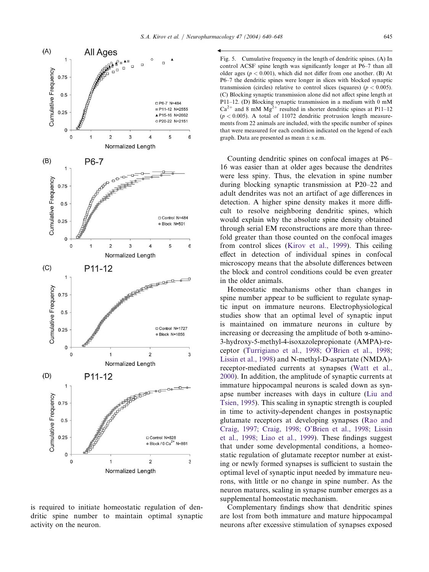o

<span id="page-5-0"></span>

is required to initiate homeostatic regulation of dendritic spine number to maintain optimal synaptic activity on the neuron.

Fig. 5. Cumulative frequency in the length of dendritic spines. (A) In control ACSF spine length was significantly longer at P6–7 than all older ages ( $p < 0.001$ ), which did not differ from one another. (B) At P6–7 the dendritic spines were longer in slices with blocked synaptic transmission (circles) relative to control slices (squares) ( $p < 0.005$ ). (C) Blocking synaptic transmission alone did not affect spine length at P11–12. (D) Blocking synaptic transmission in a medium with 0 mM  $Ca^{2+}$  and 8 mM Mg<sup>2+</sup> resulted in shorter dendritic spines at P11–12  $(p < 0.005)$ . A total of 11072 dendritic protrusion length measurements from 22 animals are included, with the specific number of spines that were measured for each condition indicated on the legend of each graph. Data are presented as mean  $\pm$  s.e.m.

Counting dendritic spines on confocal images at P6– 16 was easier than at older ages because the dendrites were less spiny. Thus, the elevation in spine number during blocking synaptic transmission at P20–22 and adult dendrites was not an artifact of age differences in detection. A higher spine density makes it more difficult to resolve neighboring dendritic spines, which would explain why the absolute spine density obtained through serial EM reconstructions are more than threefold greater than those counted on the confocal images from control slices ([Kirov et al., 1999](#page-7-0)). This ceiling effect in detection of individual spines in confocal microscopy means that the absolute differences between the block and control conditions could be even greater in the older animals.

Homeostatic mechanisms other than changes in spine number appear to be sufficient to regulate synaptic input on immature neurons. Electrophysiological studies show that an optimal level of synaptic input is maintained on immature neurons in culture by increasing or decreasing the amplitude of both  $\alpha$ -amino-3-hydroxy-5-methyl-4-isoxazolepropionate (AMPA)-receptor [\(Turrigiano et al., 1998; O'Brien et al., 1998;](#page-8-0) [Lissin et al., 1998](#page-8-0)) and N-methyl-D-aspartate (NMDA) receptor-mediated currents at synapses [\(Watt et al.,](#page-8-0) [2000](#page-8-0)). In addition, the amplitude of synaptic currents at immature hippocampal neurons is scaled down as synapse number increases with days in culture ([Liu and](#page-7-0) [Tsien, 1995\)](#page-7-0). This scaling in synaptic strength is coupled in time to activity-dependent changes in postsynaptic glutamate receptors at developing synapses ([Rao and](#page-8-0) [Craig, 1997; Craig, 1998; O'Brien et al., 1998; Lissin](#page-8-0) [et al., 1998; Liao et al., 1999](#page-8-0)). These findings suggest that under some developmental conditions, a homeostatic regulation of glutamate receptor number at existing or newly formed synapses is sufficient to sustain the optimal level of synaptic input needed by immature neurons, with little or no change in spine number. As the neuron matures, scaling in synapse number emerges as a supplemental homeostatic mechanism.

Complementary findings show that dendritic spines are lost from both immature and mature hippocampal neurons after excessive stimulation of synapses exposed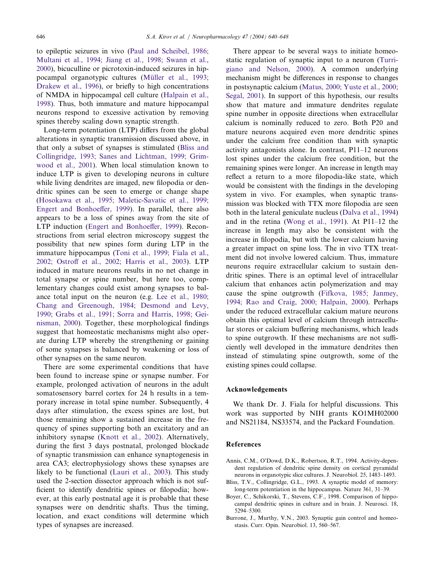<span id="page-6-0"></span>to epileptic seizures in vivo [\(Paul and Scheibel, 1986;](#page-8-0) [Multani et al., 1994; Jiang et al., 1998; Swann et al.,](#page-8-0) [2000\)](#page-8-0), bicuculline or picrotoxin-induced seizures in hippocampal organotypic cultures (Müller et al., 1993; [Drakew et al., 1996](#page-8-0)), or briefly to high concentrations of NMDA in hippocampal cell culture ([Halpain et al.,](#page-7-0) [1998\)](#page-7-0). Thus, both immature and mature hippocampal neurons respond to excessive activation by removing spines thereby scaling down synaptic strength.

Long-term potentiation (LTP) differs from the global alterations in synaptic transmission discussed above, in that only a subset of synapses is stimulated (Bliss and Collingridge, 1993; Sanes and Lichtman, 1999; Grimwood et al., 2001). When local stimulation known to induce LTP is given to developing neurons in culture while living dendrites are imaged, new filopodia or dendritic spines can be seen to emerge or change shape ([Hosokawa et al., 1995; Maletic-Savatic et al., 1999;](#page-7-0) [Engert and Bonhoeffer, 1999](#page-7-0)). In parallel, there also appears to be a loss of spines away from the site of LTP induction [\(Engert and Bonhoeffer, 1999\)](#page-7-0). Reconstructions from serial electron microscopy suggest the possibility that new spines form during LTP in the immature hippocampus [\(Toni et al., 1999; Fiala et al.,](#page-8-0) [2002; Ostroff et al., 2002; Harris et al., 2003\)](#page-8-0). LTP induced in mature neurons results in no net change in total synapse or spine number, but here too, complementary changes could exist among synapses to balance total input on the neuron (e.g. [Lee et al., 1980;](#page-7-0) [Chang and Greenough, 1984; Desmond and Levy,](#page-7-0) [1990; Grabs et al., 1991; Sorra and Harris, 1998; Gei](#page-7-0)[nisman, 2000](#page-7-0)). Together, these morphological findings suggest that homeostatic mechanisms might also operate during LTP whereby the strengthening or gaining of some synapses is balanced by weakening or loss of other synapses on the same neuron.

There are some experimental conditions that have been found to increase spine or synapse number. For example, prolonged activation of neurons in the adult somatosensory barrel cortex for 24 h results in a temporary increase in total spine number. Subsequently, 4 days after stimulation, the excess spines are lost, but those remaining show a sustained increase in the frequency of spines supporting both an excitatory and an inhibitory synapse [\(Knott et al., 2002\)](#page-7-0). Alternatively, during the first 3 days postnatal, prolonged blockade of synaptic transmission can enhance synaptogenesis in area CA3; electrophysiology shows these synapses are likely to be functional [\(Lauri et al., 2003](#page-7-0)). This study used the 2-section dissector approach which is not sufficient to identify dendritic spines or filopodia; however, at this early postnatal age it is probable that these synapses were on dendritic shafts. Thus the timing, location, and exact conditions will determine which types of synapses are increased.

There appear to be several ways to initiate homeostatic regulation of synaptic input to a neuron ([Turri](#page-8-0)[giano and Nelson, 2000](#page-8-0)). A common underlying mechanism might be differences in response to changes in postsynaptic calcium [\(Matus, 2000; Yuste et al., 2000;](#page-8-0) [Segal, 2001\)](#page-8-0). In support of this hypothesis, our results show that mature and immature dendrites regulate spine number in opposite directions when extracellular calcium is nominally reduced to zero. Both P20 and mature neurons acquired even more dendritic spines under the calcium free condition than with synaptic activity antagonists alone. In contrast, P11–12 neurons lost spines under the calcium free condition, but the remaining spines were longer. An increase in length may reflect a return to a more filopodia-like state, which would be consistent with the findings in the developing system in vivo. For examples, when synaptic transmission was blocked with TTX more filopodia are seen both in the lateral geniculate nucleus [\(Dalva et al., 1994](#page-7-0)) and in the retina [\(Wong et al., 1991\)](#page-8-0). At P11–12 the increase in length may also be consistent with the increase in filopodia, but with the lower calcium having a greater impact on spine loss. The in vivo TTX treatment did not involve lowered calcium. Thus, immature neurons require extracellular calcium to sustain dendritic spines. There is an optimal level of intracellular calcium that enhances actin polymerization and may cause the spine outgrowth ([Fifkova, 1985; Janmey,](#page-7-0) [1994; Rao and Craig, 2000; Halpain, 2000\)](#page-7-0). Perhaps under the reduced extracellular calcium mature neurons obtain this optimal level of calcium through intracellular stores or calcium buffering mechanisms, which leads to spine outgrowth. If these mechanisms are not sufficiently well developed in the immature dendrites then instead of stimulating spine outgrowth, some of the existing spines could collapse.

## Acknowledgements

We thank Dr. J. Fiala for helpful discussions. This work was supported by NIH grants KO1MH02000 and NS21184, NS33574, and the Packard Foundation.

## References

- Annis, C.M., O'Dowd, D.K., Robertson, R.T., 1994. Activity-dependent regulation of dendritic spine density on cortical pyramidal neurons in organotypic slice cultures. J. Neurobiol. 25, 1483–1493.
- Bliss, T.V., Collingridge, G.L., 1993. A synaptic model of memory: long-term potentiation in the hippocampus. Nature 361, 31–39.
- Boyer, C., Schikorski, T., Stevens, C.F., 1998. Comparison of hippocampal dendritic spines in culture and in brain. J. Neurosci. 18, 5294–5300.
- Burrone, J., Murthy, V.N., 2003. Synaptic gain control and homeostasis. Curr. Opin. Neurobiol. 13, 560–567.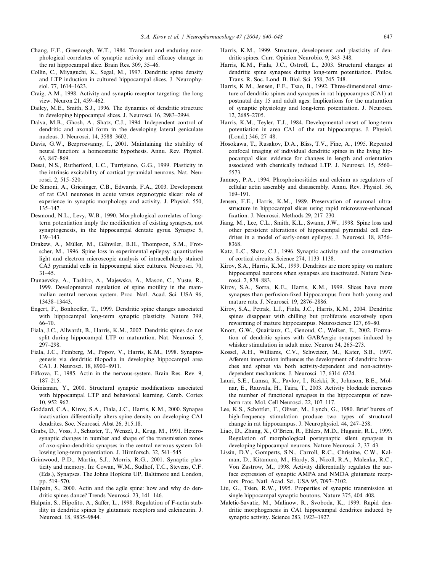- <span id="page-7-0"></span>Chang, F.F., Greenough, W.T., 1984. Transient and enduring morphological correlates of synaptic activity and efficacy change in the rat hippocampal slice. Brain Res. 309, 35–46.
- Collin, C., Miyaguchi, K., Segal, M., 1997. Dendritic spine density and LTP induction in cultured hippocampal slices. J. Neurophysiol. 77, 1614–1623.
- Craig, A.M., 1998. Activity and synaptic receptor targeting: the long view. Neuron 21, 459–462.
- Dailey, M.E., Smith, S.J., 1996. The dynamics of dendritic structure in developing hippocampal slices. J. Neurosci. 16, 2983–2994.
- Dalva, M.B., Ghosh, A., Shatz, C.J., 1994. Independent control of dendritic and axonal form in the developing lateral geniculate nucleus. J. Neurosci. 14, 3588–3602.
- Davis, G.W., Bezprozvanny, I., 2001. Maintaining the stability of neural function: a homeostatic hypothesis. Annu. Rev. Physiol. 63, 847–869.
- Desai, N.S., Rutherford, L.C., Turrigiano, G.G., 1999. Plasticity in the intrinsic excitability of cortical pyramidal neurons. Nat. Neurosci. 2, 515–520.
- De Simoni, A., Griesinger, C.B., Edwards, F.A., 2003. Development of rat CA1 neurones in acute versus organotypic slices: role of experience in synaptic morphology and activity. J. Physiol. 550, 135–147.
- Desmond, N.L., Levy, W.B., 1990. Morphological correlates of longterm potentiation imply the modification of existing synapses, not synaptogenesis, in the hippocampal dentate gyrus. Synapse 5, 139–143.
- Drakew, A., Müller, M., Gähwiler, B.H., Thompson, S.M., Frotscher, M., 1996. Spine loss in experimental epilepsy: quantitative light and electron microscopic analysis of intracellularly stained CA3 pyramidal cells in hippocampal slice cultures. Neurosci. 70, 31–45.
- Dunaevsky, A., Tashiro, A., Majewska, A., Mason, C., Yuste, R., 1999. Developmental regulation of spine motility in the mammalian central nervous system. Proc. Natl. Acad. Sci. USA 96, 13438–13443.
- Engert, F., Bonhoeffer, T., 1999. Dendritic spine changes associated with hippocampal long-term synaptic plasticity. Nature 399, 66–70.
- Fiala, J.C., Allwardt, B., Harris, K.M., 2002. Dendritic spines do not split during hippocampal LTP or maturation. Nat. Neurosci. 5, 297–298.
- Fiala, J.C., Feinberg, M., Popov, V., Harris, K.M., 1998. Synaptogenesis via dendritic filopodia in developing hippocampal area CA1. J. Neurosci. 18, 8900–8911.
- Fifkova, E., 1985. Actin in the nervous-system. Brain Res. Rev. 9, 187–215.
- Geinisman, Y., 2000. Structural synaptic modifications associated with hippocampal LTP and behavioral learning. Cereb. Cortex 10, 952–962.
- Goddard, C.A., Kirov, S.A., Fiala, J.C., Harris, K.M., 2000. Synapse inactivation differentially alters spine density on developing CA1 dendrites. Soc. Neurosci. Abst 26, 315.18.
- Grabs, D., Voss, J., Schuster, T., Wenzel, J., Krug, M., 1991. Heterosynaptic changes in number and shape of the transmission zones of axo-spino-dendritic synapses in the central nervous system following long-term potentiation. J. Hirnforsch. 32, 541–545.
- Grimwood, P.D., Martin, S.J., Morris, R.G., 2001. Synaptic plasticity and memory. In: Cowan, W.M., Südhof, T.C., Stevens, C.F. (Eds.), Synapses. The Johns Hopkins UP, Baltimore and London, pp. 519–570.
- Halpain, S., 2000. Actin and the agile spine: how and why do dendritic spines dance? Trends Neurosci. 23, 141–146.
- Halpain, S., Hipolito, A., Saffer, L., 1998. Regulation of F-actin stability in dendritic spines by glutamate receptors and calcineurin. J. Neurosci. 18, 9835–9844.
- Harris, K.M., 1999. Structure, development and plasticity of dendritic spines. Curr. Opinion Neurobio. 9, 343–348.
- Harris, K.M., Fiala, J.C., Ostroff, L., 2003. Structural changes at dendritic spine synapses during long-term potentiation. Philos. Trans. R. Soc. Lond. B. Biol. Sci. 358, 745–748.
- Harris, K.M., Jensen, F.E., Tsao, B., 1992. Three-dimensional structure of dendritic spines and synapses in rat hippocampus (CA1) at postnatal day 15 and adult ages: Implications for the maturation of synaptic physiology and long-term potentiation. J. Neurosci. 12, 2685–2705.
- Harris, K.M., Teyler, T.J., 1984. Developmental onset of long-term potentiation in area CA1 of the rat hippocampus. J. Physiol. (Lond.) 346, 27–48.
- Hosokawa, T., Rusakov, D.A., Bliss, T.V., Fine, A., 1995. Repeated confocal imaging of individual dendritic spines in the living hippocampal slice: evidence for changes in length and orientation associated with chemically induced LTP. J. Neurosci. 15, 5560– 5573.
- Janmey, P.A., 1994. Phosphoinositides and calcium as regulators of cellular actin assembly and disassembly. Annu. Rev. Physiol. 56, 169–191.
- Jensen, F.E., Harris, K.M., 1989. Preservation of neuronal ultrastructure in hippocampal slices using rapid microwave-enhanced fixation. J. Neurosci. Methods 29, 217–230.
- Jiang, M., Lee, C.L., Smith, K.L., Swann, J.W., 1998. Spine loss and other persistent alterations of hippocampal pyramidal cell dendrites in a model of early-onset epilepsy. J. Neurosci. 18, 8356– 8368.
- Katz, L.C., Shatz, C.J., 1996. Synaptic activity and the construction of cortical circuits. Science 274, 1133–1138.
- Kirov, S.A., Harris, K.M., 1999. Dendrites are more spiny on mature hippocampal neurons when synapses are inactivated. Nature Neurosci. 2, 878–883.
- Kirov, S.A., Sorra, K.E., Harris, K.M., 1999. Slices have more synapses than perfusion-fixed hippocampus from both young and mature rats. J. Neurosci. 19, 2876–2886.
- Kirov, S.A., Petrak, L.J., Fiala, J.C., Harris, K.M., 2004. Dendritic spines disappear with chilling but proliferate excessively upon rewarming of mature hippocampus. Neuroscience 127, 69–80.
- Knott, G.W., Quairiaux, C., Genoud, C., Welker, E., 2002. Formation of dendritic spines with GABAergic synapses induced by whisker stimulation in adult mice. Neuron 34, 265–273.
- Kossel, A.H., Williams, C.V., Schweizer, M., Kater, S.B., 1997. Afferent innervation influences the development of dendritic branches and spines via both activity-dependent and non-activitydependent mechanisms. J. Neurosci. 17, 6314–6324.
- Lauri, S.E., Lamsa, K., Pavlov, I., Riekki, R., Johnson, B.E., Molnar, E., Rauvala, H., Taira, T., 2003. Activity blockade increases the number of functional synapses in the hippocampus of newborn rats. Mol. Cell Neurosci. 22, 107–117.
- Lee, K.S., Schottler, F., Oliver, M., Lynch, G., 1980. Brief bursts of high-frequency stimulation produce two types of structural change in rat hippocampus. J. Neurophysiol. 44, 247–258.
- Liao, D., Zhang, X., O'Brien, R., Ehlers, M.D., Huganir, R.L., 1999. Regulation of morphological postsynaptic silent synapses in developing hippocampal neurons. Nature Neurosci. 2, 37–43.
- Lissin, D.V., Gomperts, S.N., Carroll, R.C., Christine, C.W., Kalman, D., Kitamura, M., Hardy, S., Nicoll, R.A., Malenka, R.C., Von Zastrow, M., 1998. Activity differentially regulates the surface expression of synaptic AMPA and NMDA glutamate receptors. Proc. Natl. Acad. Sci. USA 95, 7097–7102.
- Liu, G., Tsien, R.W., 1995. Properties of synaptic transmission at single hippocampal synaptic boutons. Nature 375, 404–408.
- Maletic-Savatic, M., Malinow, R., Svoboda, K., 1999. Rapid dendritic morphogenesis in CA1 hippocampal dendrites induced by synaptic activity. Science 283, 1923–1927.